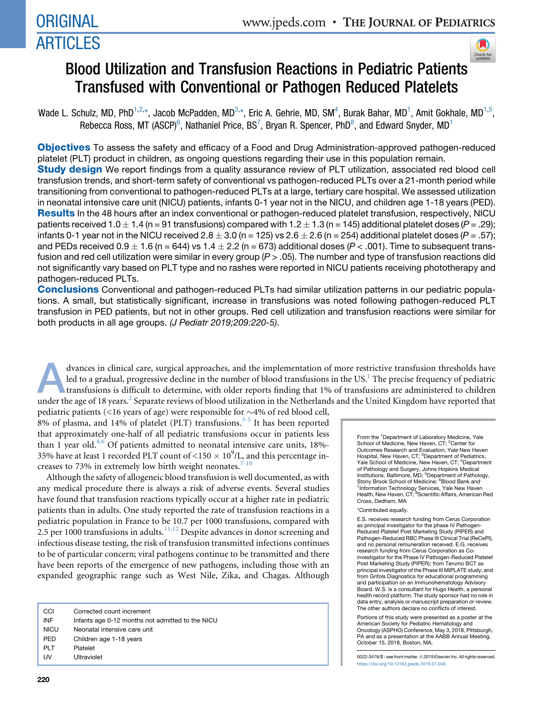# **ORIGINAL** ARTICLES



## Blood Utilization and Transfusion Reactions in Pediatric Patients Transfused with Conventional or Pathogen Reduced Platelets

Wade L. Schulz, MD, PhD $^{1,2,*}$ , Jacob McPadden, MD $^{3,*}$ , Eric A. Gehrie, MD, SM $^4$ , Burak Bahar, MD $^1$ , Amit Gokhale, MD $^{1,5},$ Rebecca Ross, MT (ASCP)<sup>6</sup>, Nathaniel Price, BS<sup>7</sup>, Bryan R. Spencer, PhD<sup>8</sup>, and Edward Snyder, MD<sup>1</sup>

**Objectives** To assess the safety and efficacy of a Food and Drug Administration-approved pathogen-reduced platelet (PLT) product in children, as ongoing questions regarding their use in this population remain. Study design We report findings from a quality assurance review of PLT utilization, associated red blood cell transfusion trends, and short-term safety of conventional vs pathogen-reduced PLTs over a 21-month period while transitioning from conventional to pathogen-reduced PLTs at a large, tertiary care hospital. We assessed utilization in neonatal intensive care unit (NICU) patients, infants 0-1 year not in the NICU, and children age 1-18 years (PED). Results In the 48 hours after an index conventional or pathogen-reduced platelet transfusion, respectively, NICU patients received 1.0  $\pm$  1.4 (n = 91 transfusions) compared with 1.2  $\pm$  1.3 (n = 145) additional platelet doses (P = .29); infants 0-1 year not in the NICU received  $2.8 \pm 3.0$  (n = 125) vs  $2.6 \pm 2.6$  (n = 254) additional platelet doses (P = .57); and PEDs received  $0.9 \pm 1.6$  (n = 644) vs  $1.4 \pm 2.2$  (n = 673) additional doses (P < .001). Time to subsequent transfusion and red cell utilization were similar in every group (*P* > .05). The number and type of transfusion reactions did not significantly vary based on PLT type and no rashes were reported in NICU patients receiving phototherapy and pathogen-reduced PLTs.

Conclusions Conventional and pathogen-reduced PLTs had similar utilization patterns in our pediatric populations. A small, but statistically significant, increase in transfusions was noted following pathogen-reduced PLT transfusion in PED patients, but not in other groups. Red cell utilization and transfusion reactions were similar for both products in all age groups. *(J Pediatr 2019;209:220-5)*.

dvances in clinical care, surgical approaches, and the implementation of more restrictive transfusion thresholds have<br>led to a gradual, progressive decline in the number of blood transfusions in the US.<sup>1</sup> The precise freq led to a gradual, progressive decline in the number of blood transfusions in the US.<sup>1</sup> The precise frequency of pediatric transfusions is difficult to determine, with older reports finding that 1% of transfusions are administered to children under the age of 18 years.<sup>[2](#page-5-0)</sup> Separate reviews of blood utilization in the Netherlands and the United Kingdom have reported that

pediatric patients (<16 years of age) were responsible for  $\sim$ 4% of red blood cell, 8% of plasma, and 14% of platelet (PLT) transfusions.<sup>[3-5](#page-5-0)</sup> It has been reported that approximately one-half of all pediatric transfusions occur in patients less than 1 year old. $4,6$  Of patients admitted to neonatal intensive care units, 18%-35% have at least 1 recorded PLT count of <150  $\times$  10<sup>9</sup>/L, and this percentage increases to 73% in extremely low birth weight neonates. $7-10$ 

Although the safety of allogeneic blood transfusion is well documented, as with any medical procedure there is always a risk of adverse events. Several studies have found that transfusion reactions typically occur at a higher rate in pediatric patients than in adults. One study reported the rate of transfusion reactions in a pediatric population in France to be 10.7 per 1000 transfusions, compared with 2.5 per 1000 transfusions in adults.<sup>[11,12](#page-5-0)</sup> Despite advances in donor screening and infectious disease testing, the risk of transfusion transmitted infections continues to be of particular concern; viral pathogens continue to be transmitted and there have been reports of the emergence of new pathogens, including those with an expanded geographic range such as West Nile, Zika, and Chagas. Although

- INF Infants age 0-12 months not admitted to the NICU
- NICU Neonatal intensive care unit
- PED Children age 1-18 years
- PLT Platelet UV Ultraviolet

E.S. receives research funding from Cerus Corporation as principal investigator for the phase IV Pathogen Reduced Platelet Post Marketing Study (PIPER) and Pathogen-Reduced RBC Phase III Clinical Trial (ReCePI), and no personal remuneration received. E.G. receives research funding from Cerus Corporation as Coinvestigator for the Phase IV Pathogen-Reduced Platelet

From the <sup>1</sup>Department of Laboratory Medicine, Yale School of Medicine, New Haven, CT; <sup>2</sup>Center for Outcomes Research and Evaluation, Yale New Haven<br>Hospital, New Haven, CT; <sup>3</sup>Department of Pediatrics, Yale School of Medicine, New Haven, CT; <sup>4</sup>Department of Pathology and Surgery, Johns Hopkins Medical<br>Institutions, Baltimore, MD; <sup>5</sup>Department of Pathology, Stony Brook School of Medicine; <sup>6</sup> Blood Bank and <sup>7</sup>Information Technology Services, Yale New Hayer 'Information Technology Services, Yale New Haven<br>Health, New Haven, CT; <sup>8</sup>Scientific Affairs, American Red

Cross, Dedham, MA \*Contributed equally.

Post Marketing Study (PIPER); from Terumo BCT as principal investigator of the Phase III MIPLATE study; and from Grifols Diagnostics for educational programming and participation on an Immunohematology Advisory Board. W.S. is a consultant for Hugo Health, a personal health record platform. The study sponsor had no role in data entry, analysis or manuscript preparation or review. The other authors declare no conflicts of interest.

Portions of this study were presented as a poster at the American Society for Pediatric Hematology and Oncology (ASPHO) Conference, May 3, 2018, Pittsburgh, PA and as a presentation at the AABB Annual Meeting, October 15, 2018, Boston, MA.

0022-3476/\$ - see front matter. © 2019 Elsevier Inc. All rights reserved. <https://doi.org/10.1016/j.jpeds.2019.01.046>

CCI Corrected count increment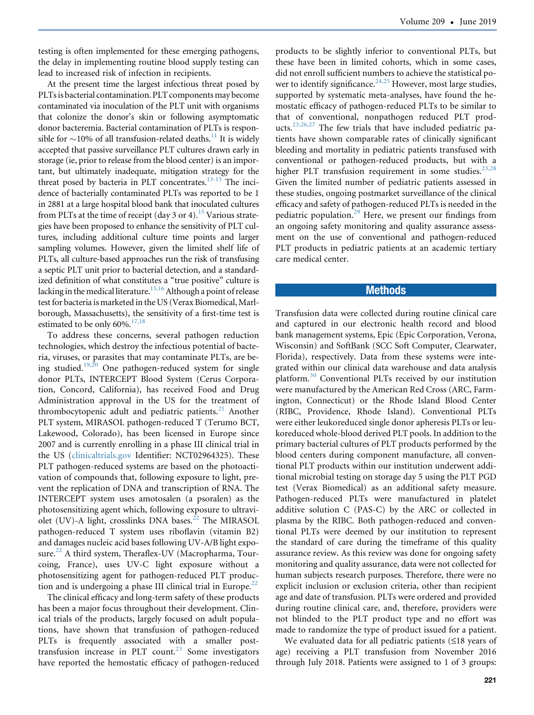testing is often implemented for these emerging pathogens, the delay in implementing routine blood supply testing can lead to increased risk of infection in recipients.

At the present time the largest infectious threat posed by PLTs is bacterial contamination. PLT components may become contaminated via inoculation of the PLT unit with organisms that colonize the donor's skin or following asymptomatic donor bacteremia. Bacterial contamination of PLTs is responsible for  $\sim$ 10% of all transfusion-related deaths.<sup>11</sup> It is widely accepted that passive surveillance PLT cultures drawn early in storage (ie, prior to release from the blood center) is an important, but ultimately inadequate, mitigation strategy for the threat posed by bacteria in PLT concentrates.<sup>13-15</sup> The incidence of bacterially contaminated PLTs was reported to be 1 in 2881 at a large hospital blood bank that inoculated cultures from PLTs at the time of receipt (day 3 or 4).<sup>15</sup> Various strategies have been proposed to enhance the sensitivity of PLT cultures, including additional culture time points and larger sampling volumes. However, given the limited shelf life of PLTs, all culture-based approaches run the risk of transfusing a septic PLT unit prior to bacterial detection, and a standardized definition of what constitutes a "true positive" culture is lacking in the medical literature.<sup>[15,16](#page-5-0)</sup> Although a point of release test for bacteria is marketed in the US (Verax Biomedical, Marlborough, Massachusetts), the sensitivity of a first-time test is estimated to be only 60%.<sup>17,18</sup>

To address these concerns, several pathogen reduction technologies, which destroy the infectious potential of bacteria, viruses, or parasites that may contaminate PLTs, are be-ing studied.<sup>[19,20](#page-5-0)</sup> One pathogen-reduced system for single donor PLTs, INTERCEPT Blood System (Cerus Corporation, Concord, California), has received Food and Drug Administration approval in the US for the treatment of thrombocytopenic adult and pediatric patients. $^{21}$  $^{21}$  $^{21}$  Another PLT system, MIRASOL pathogen-reduced T (Terumo BCT, Lakewood, Colorado), has been licensed in Europe since 2007 and is currently enrolling in a phase III clinical trial in the US ([clinicaltrials.gov](http://clinicaltrials.gov) Identifier: NCT02964325). These PLT pathogen-reduced systems are based on the photoactivation of compounds that, following exposure to light, prevent the replication of DNA and transcription of RNA. The INTERCEPT system uses amotosalen (a psoralen) as the photosensitizing agent which, following exposure to ultravi-olet (UV)-A light, crosslinks DNA bases.<sup>[22](#page-5-0)</sup> The MIRASOL pathogen-reduced T system uses riboflavin (vitamin B2) and damages nucleic acid bases following UV-A/B light expo-sure.<sup>[22](#page-5-0)</sup> A third system, Theraflex-UV (Macropharma, Tourcoing, France), uses UV-C light exposure without a photosensitizing agent for pathogen-reduced PLT produc-tion and is undergoing a phase III clinical trial in Europe.<sup>[22](#page-5-0)</sup>

The clinical efficacy and long-term safety of these products has been a major focus throughout their development. Clinical trials of the products, largely focused on adult populations, have shown that transfusion of pathogen-reduced PLTs is frequently associated with a smaller post-transfusion increase in PLT count.<sup>[23](#page-5-0)</sup> Some investigators have reported the hemostatic efficacy of pathogen-reduced

products to be slightly inferior to conventional PLTs, but these have been in limited cohorts, which in some cases, did not enroll sufficient numbers to achieve the statistical po-wer to identify significance.<sup>[24,25](#page-5-0)</sup> However, most large studies, supported by systematic meta-analyses, have found the hemostatic efficacy of pathogen-reduced PLTs to be similar to that of conventional, nonpathogen reduced PLT prod-ucts.<sup>[23,26,27](#page-5-0)</sup> The few trials that have included pediatric patients have shown comparable rates of clinically significant bleeding and mortality in pediatric patients transfused with conventional or pathogen-reduced products, but with a higher PLT transfusion requirement in some studies.<sup>[23,28](#page-5-0)</sup> Given the limited number of pediatric patients assessed in these studies, ongoing postmarket surveillance of the clinical efficacy and safety of pathogen-reduced PLTs is needed in the pediatric population.<sup>[29](#page-5-0)</sup> Here, we present our findings from an ongoing safety monitoring and quality assurance assessment on the use of conventional and pathogen-reduced PLT products in pediatric patients at an academic tertiary care medical center.

### Methods

Transfusion data were collected during routine clinical care and captured in our electronic health record and blood bank management systems, Epic (Epic Corporation, Verona, Wisconsin) and SoftBank (SCC Soft Computer, Clearwater, Florida), respectively. Data from these systems were integrated within our clinical data warehouse and data analysis platform.[30](#page-5-0) Conventional PLTs received by our institution were manufactured by the American Red Cross (ARC, Farmington, Connecticut) or the Rhode Island Blood Center (RIBC, Providence, Rhode Island). Conventional PLTs were either leukoreduced single donor apheresis PLTs or leukoreduced whole-blood derived PLT pools. In addition to the primary bacterial cultures of PLT products performed by the blood centers during component manufacture, all conventional PLT products within our institution underwent additional microbial testing on storage day 5 using the PLT PGD test (Verax Biomedical) as an additional safety measure. Pathogen-reduced PLTs were manufactured in platelet additive solution C (PAS-C) by the ARC or collected in plasma by the RIBC. Both pathogen-reduced and conventional PLTs were deemed by our institution to represent the standard of care during the timeframe of this quality assurance review. As this review was done for ongoing safety monitoring and quality assurance, data were not collected for human subjects research purposes. Therefore, there were no explicit inclusion or exclusion criteria, other than recipient age and date of transfusion. PLTs were ordered and provided during routine clinical care, and, therefore, providers were not blinded to the PLT product type and no effort was made to randomize the type of product issued for a patient.

We evaluated data for all pediatric patients  $(\leq 18$  years of age) receiving a PLT transfusion from November 2016 through July 2018. Patients were assigned to 1 of 3 groups: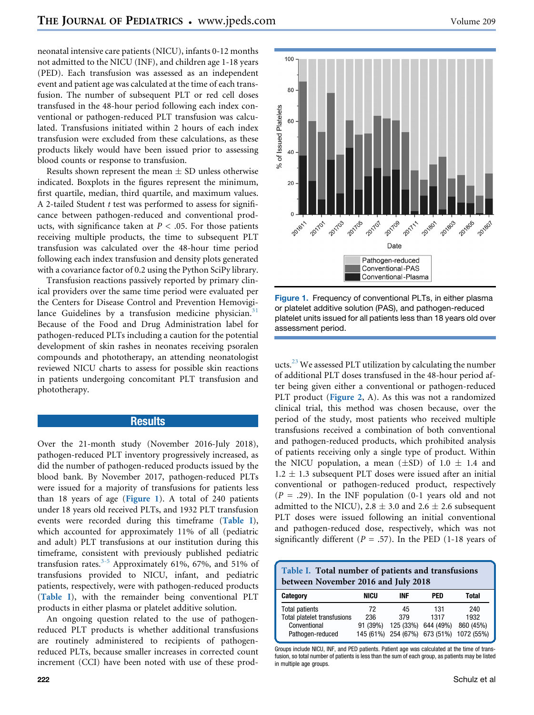neonatal intensive care patients (NICU), infants 0-12 months not admitted to the NICU (INF), and children age 1-18 years (PED). Each transfusion was assessed as an independent event and patient age was calculated at the time of each transfusion. The number of subsequent PLT or red cell doses transfused in the 48-hour period following each index conventional or pathogen-reduced PLT transfusion was calculated. Transfusions initiated within 2 hours of each index transfusion were excluded from these calculations, as these products likely would have been issued prior to assessing blood counts or response to transfusion.

Results shown represent the mean  $\pm$  SD unless otherwise indicated. Boxplots in the figures represent the minimum, first quartile, median, third quartile, and maximum values. A 2-tailed Student  $t$  test was performed to assess for significance between pathogen-reduced and conventional products, with significance taken at  $P < .05$ . For those patients receiving multiple products, the time to subsequent PLT transfusion was calculated over the 48-hour time period following each index transfusion and density plots generated with a covariance factor of 0.2 using the Python SciPy library.

Transfusion reactions passively reported by primary clinical providers over the same time period were evaluated per the Centers for Disease Control and Prevention Hemovigi-lance Guidelines by a transfusion medicine physician.<sup>[31](#page-5-0)</sup> Because of the Food and Drug Administration label for pathogen-reduced PLTs including a caution for the potential development of skin rashes in neonates receiving psoralen compounds and phototherapy, an attending neonatologist reviewed NICU charts to assess for possible skin reactions in patients undergoing concomitant PLT transfusion and phototherapy.

## **Results**

Over the 21-month study (November 2016-July 2018), pathogen-reduced PLT inventory progressively increased, as did the number of pathogen-reduced products issued by the blood bank. By November 2017, pathogen-reduced PLTs were issued for a majority of transfusions for patients less than 18 years of age (Figure 1). A total of 240 patients under 18 years old received PLTs, and 1932 PLT transfusion events were recorded during this timeframe (Table I), which accounted for approximately 11% of all (pediatric and adult) PLT transfusions at our institution during this timeframe, consistent with previously published pediatric transfusion rates. $3-5$  Approximately 61%, 67%, and 51% of transfusions provided to NICU, infant, and pediatric patients, respectively, were with pathogen-reduced products (Table I), with the remainder being conventional PLT products in either plasma or platelet additive solution.

An ongoing question related to the use of pathogenreduced PLT products is whether additional transfusions are routinely administered to recipients of pathogenreduced PLTs, because smaller increases in corrected count increment (CCI) have been noted with use of these prod-



Figure 1. Frequency of conventional PLTs, in either plasma or platelet additive solution (PAS), and pathogen-reduced platelet units issued for all patients less than 18 years old over assessment period.

ucts. $^{23}$  $^{23}$  $^{23}$  We assessed PLT utilization by calculating the number of additional PLT doses transfused in the 48-hour period after being given either a conventional or pathogen-reduced PLT product ([Figure 2](#page-3-0), A). As this was not a randomized clinical trial, this method was chosen because, over the period of the study, most patients who received multiple transfusions received a combination of both conventional and pathogen-reduced products, which prohibited analysis of patients receiving only a single type of product. Within the NICU population, a mean  $(\pm SD)$  of 1.0  $\pm$  1.4 and  $1.2 \pm 1.3$  subsequent PLT doses were issued after an initial conventional or pathogen-reduced product, respectively  $(P = .29)$ . In the INF population (0-1 years old and not admitted to the NICU), 2.8  $\pm$  3.0 and 2.6  $\pm$  2.6 subsequent PLT doses were issued following an initial conventional and pathogen-reduced dose, respectively, which was not significantly different ( $P = .57$ ). In the PED (1-18 years of

| Table I. Total number of patients and transfusions<br>between November 2016 and July 2018 |             |                               |           |            |  |  |
|-------------------------------------------------------------------------------------------|-------------|-------------------------------|-----------|------------|--|--|
| Category                                                                                  | <b>NICU</b> | INF                           | PED       | Total      |  |  |
| <b>Total patients</b>                                                                     | 72          | 45                            | 131       | 240        |  |  |
| <b>Total platelet transfusions</b>                                                        | 236         | 379                           | 1317      | 1932       |  |  |
| Conventional                                                                              | 91 (39%)    | 125 (33%)                     | 644 (49%) | 860 (45%)  |  |  |
| Pathogen-reduced                                                                          |             | 145 (61%) 254 (67%) 673 (51%) |           | 1072 (55%) |  |  |

Groups include NICU, INF, and PED patients. Patient age was calculated at the time of transfusion, so total number of patients is less than the sum of each group, as patients may be listed in multiple age groups.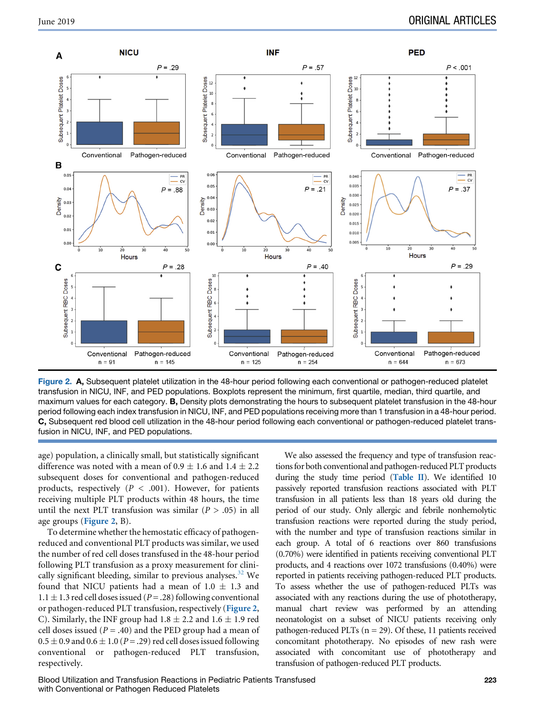<span id="page-3-0"></span>

Figure 2. A, Subsequent platelet utilization in the 48-hour period following each conventional or pathogen-reduced platelet transfusion in NICU, INF, and PED populations. Boxplots represent the minimum, first quartile, median, third quartile, and maximum values for each category. B, Density plots demonstrating the hours to subsequent platelet transfusion in the 48-hour period following each index transfusion in NICU, INF, and PED populations receiving more than 1 transfusion in a 48-hour period. C, Subsequent red blood cell utilization in the 48-hour period following each conventional or pathogen-reduced platelet transfusion in NICU, INF, and PED populations.

age) population, a clinically small, but statistically significant difference was noted with a mean of 0.9  $\pm$  1.6 and 1.4  $\pm$  2.2 subsequent doses for conventional and pathogen-reduced products, respectively  $(P < .001)$ . However, for patients receiving multiple PLT products within 48 hours, the time until the next PLT transfusion was similar  $(P > .05)$  in all age groups (Figure 2, B).

To determine whether the hemostatic efficacy of pathogenreduced and conventional PLT products was similar, we used the number of red cell doses transfused in the 48-hour period following PLT transfusion as a proxy measurement for clini-cally significant bleeding, similar to previous analyses.<sup>[32](#page-5-0)</sup> We found that NICU patients had a mean of  $1.0 \pm 1.3$  and  $1.1 \pm 1.3$  red cell doses issued (P = .28) following conventional or pathogen-reduced PLT transfusion, respectively (Figure 2, C). Similarly, the INF group had  $1.8 \pm 2.2$  and  $1.6 \pm 1.9$  red cell doses issued ( $P = .40$ ) and the PED group had a mean of  $0.5 \pm 0.9$  and  $0.6 \pm 1.0$  (P = .29) red cell doses issued following conventional or pathogen-reduced PLT transfusion, respectively.

We also assessed the frequency and type of transfusion reactions for both conventional and pathogen-reduced PLT products during the study time period ([Table II](#page-4-0)). We identified 10 passively reported transfusion reactions associated with PLT transfusion in all patients less than 18 years old during the period of our study. Only allergic and febrile nonhemolytic transfusion reactions were reported during the study period, with the number and type of transfusion reactions similar in each group. A total of 6 reactions over 860 transfusions (0.70%) were identified in patients receiving conventional PLT products, and 4 reactions over 1072 transfusions (0.40%) were reported in patients receiving pathogen-reduced PLT products. To assess whether the use of pathogen-reduced PLTs was associated with any reactions during the use of phototherapy, manual chart review was performed by an attending neonatologist on a subset of NICU patients receiving only pathogen-reduced PLTs ( $n = 29$ ). Of these, 11 patients received concomitant phototherapy. No episodes of new rash were associated with concomitant use of phototherapy and transfusion of pathogen-reduced PLT products.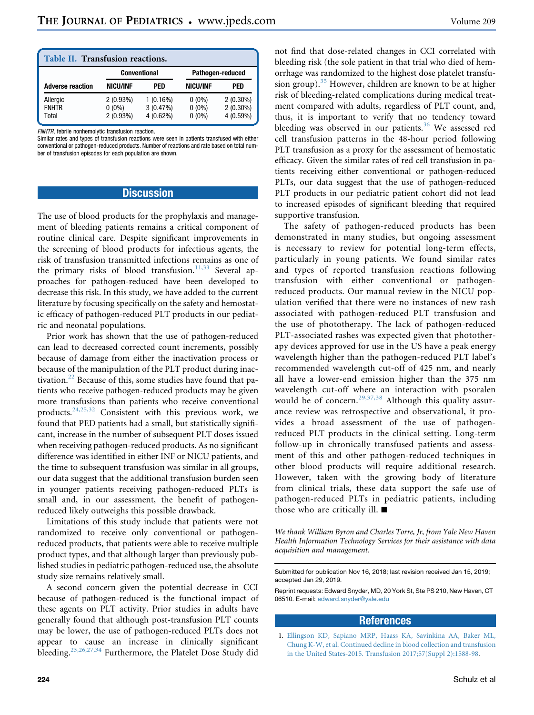<span id="page-4-0"></span>

| Table II. Transfusion reactions.  |                                  |                                      |                                  |                                         |  |  |  |
|-----------------------------------|----------------------------------|--------------------------------------|----------------------------------|-----------------------------------------|--|--|--|
|                                   | <b>Conventional</b>              |                                      | Pathogen-reduced                 |                                         |  |  |  |
| <b>Adverse reaction</b>           | <b>NICU/INF</b>                  | PED                                  | <b>NICU/INF</b>                  | PED                                     |  |  |  |
| Allergic<br><b>FNHTR</b><br>Total | 2(0.93%)<br>$0(0\%)$<br>2(0.93%) | $1(0.16\%)$<br>3(0.47%)<br>4 (0.62%) | $0(0\%)$<br>$0(0\%)$<br>$0(0\%)$ | $2(0.30\%)$<br>$2(0.30\%)$<br>4 (0.59%) |  |  |  |

FNHTR, febrile nonhemolytic transfusion reaction.

Similar rates and types of transfusion reactions were seen in patients transfused with either conventional or pathogen-reduced products. Number of reactions and rate based on total number of transfusion episodes for each population are shown.

#### **Discussion**

The use of blood products for the prophylaxis and management of bleeding patients remains a critical component of routine clinical care. Despite significant improvements in the screening of blood products for infectious agents, the risk of transfusion transmitted infections remains as one of the primary risks of blood transfusion.<sup>[11,33](#page-5-0)</sup> Several approaches for pathogen-reduced have been developed to decrease this risk. In this study, we have added to the current literature by focusing specifically on the safety and hemostatic efficacy of pathogen-reduced PLT products in our pediatric and neonatal populations.

Prior work has shown that the use of pathogen-reduced can lead to decreased corrected count increments, possibly because of damage from either the inactivation process or because of the manipulation of the PLT product during inac-tivation.<sup>[22](#page-5-0)</sup> Because of this, some studies have found that patients who receive pathogen-reduced products may be given more transfusions than patients who receive conventional products[.24,25,32](#page-5-0) Consistent with this previous work, we found that PED patients had a small, but statistically significant, increase in the number of subsequent PLT doses issued when receiving pathogen-reduced products. As no significant difference was identified in either INF or NICU patients, and the time to subsequent transfusion was similar in all groups, our data suggest that the additional transfusion burden seen in younger patients receiving pathogen-reduced PLTs is small and, in our assessment, the benefit of pathogenreduced likely outweighs this possible drawback.

Limitations of this study include that patients were not randomized to receive only conventional or pathogenreduced products, that patients were able to receive multiple product types, and that although larger than previously published studies in pediatric pathogen-reduced use, the absolute study size remains relatively small.

A second concern given the potential decrease in CCI because of pathogen-reduced is the functional impact of these agents on PLT activity. Prior studies in adults have generally found that although post-transfusion PLT counts may be lower, the use of pathogen-reduced PLTs does not appear to cause an increase in clinically significant bleeding.<sup>[23,26,27,34](#page-5-0)</sup> Furthermore, the Platelet Dose Study did not find that dose-related changes in CCI correlated with bleeding risk (the sole patient in that trial who died of hemorrhage was randomized to the highest dose platelet transfu-sion group).<sup>[35](#page-5-0)</sup> However, children are known to be at higher risk of bleeding-related complications during medical treatment compared with adults, regardless of PLT count, and, thus, it is important to verify that no tendency toward bleeding was observed in our patients.<sup>[36](#page-5-0)</sup> We assessed red cell transfusion patterns in the 48-hour period following PLT transfusion as a proxy for the assessment of hemostatic efficacy. Given the similar rates of red cell transfusion in patients receiving either conventional or pathogen-reduced PLTs, our data suggest that the use of pathogen-reduced PLT products in our pediatric patient cohort did not lead to increased episodes of significant bleeding that required supportive transfusion.

The safety of pathogen-reduced products has been demonstrated in many studies, but ongoing assessment is necessary to review for potential long-term effects, particularly in young patients. We found similar rates and types of reported transfusion reactions following transfusion with either conventional or pathogenreduced products. Our manual review in the NICU population verified that there were no instances of new rash associated with pathogen-reduced PLT transfusion and the use of phototherapy. The lack of pathogen-reduced PLT-associated rashes was expected given that phototherapy devices approved for use in the US have a peak energy wavelength higher than the pathogen-reduced PLT label's recommended wavelength cut-off of 425 nm, and nearly all have a lower-end emission higher than the 375 nm wavelength cut-off where an interaction with psoralen would be of concern.<sup>[29,37,38](#page-5-0)</sup> Although this quality assurance review was retrospective and observational, it provides a broad assessment of the use of pathogenreduced PLT products in the clinical setting. Long-term follow-up in chronically transfused patients and assessment of this and other pathogen-reduced techniques in other blood products will require additional research. However, taken with the growing body of literature from clinical trials, these data support the safe use of pathogen-reduced PLTs in pediatric patients, including those who are critically ill.  $\blacksquare$ 

We thank William Byron and Charles Torre, Jr, from Yale New Haven Health Information Technology Services for their assistance with data acquisition and management.

Reprint requests: Edward Snyder, MD, 20 York St, Ste PS 210, New Haven, CT 06510. E-mail: [edward.snyder@yale.edu](mailto:edward.snyder@yale.edu)

#### References

Submitted for publication Nov 16, 2018; last revision received Jan 15, 2019; accepted Jan 29, 2019.

<sup>1.</sup> [Ellingson KD, Sapiano MRP, Haass KA, Savinkina AA, Baker ML,](http://refhub.elsevier.com/S0022-3476(19)30136-2/sref1) [Chung K-W, et al. Continued decline in blood collection and transfusion](http://refhub.elsevier.com/S0022-3476(19)30136-2/sref1) [in the United States-2015. Transfusion 2017;57\(Suppl 2\):1588-98](http://refhub.elsevier.com/S0022-3476(19)30136-2/sref1).